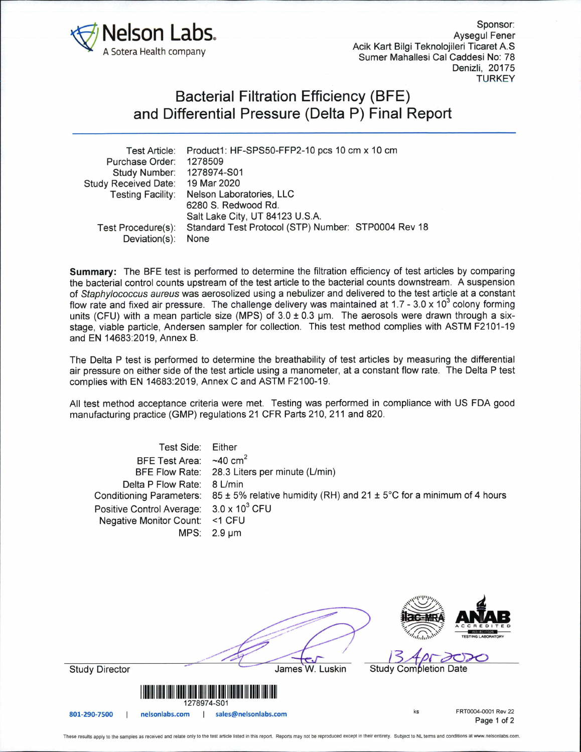

Sponsor: Aysegul Fener Acik Kart Bilgi Teknolojileri Ticaret A.S Sumer Mahallesi Cal Caddesi No: 78 Denizli, 20175 **TURKEY** 

## Bacterial Filtration Efficiency (BFE) and Differential Pressure (Delta P) Final Report

|                             | Test Article: Product1: HF-SPS50-FFP2-10 pcs 10 cm x 10 cm |
|-----------------------------|------------------------------------------------------------|
| Purchase Order:             | 1278509                                                    |
| Study Number:               | 1278974-S01                                                |
| <b>Study Received Date:</b> | 19 Mar 2020                                                |
| <b>Testing Facility:</b>    | Nelson Laboratories, LLC                                   |
|                             | 6280 S. Redwood Rd.                                        |
|                             | Salt Lake City, UT 84123 U.S.A.                            |
| Test Procedure(s):          | Standard Test Protocol (STP) Number: STP0004 Rev 18        |
| Deviation(s):               | None                                                       |
|                             |                                                            |

**Summary:** The BFE test is performed to determine the filtration efficiency of test articles by comparing the bacterial control counts upstream of the test article to the bacterial counts downstream. A suspension of Staphylococcus aureus was aerosolized using a nebulizer and delivered to the test article at a constant flow rate and fixed air pressure. The challenge delivery was maintained at 1.7 - 3.0 x 10<sup>3</sup> colony forming units (CFU) with a mean particle size (MPS) of  $3.0 \pm 0.3$  µm. The aerosols were drawn through a sixstage, viable particle, Andersen sampler for collection. This test method complies with ASTM F2101-19 and EN 14683:2019, Annex B.

The Delta P test is performed to determine the breathability of test articles by measuring the differential air pressure on either side of the test article using a manometer, at a constant flow rate. The Delta P test complies with EN 14683:2019, Annex C and ASTM F2100-19.

All test method acceptance criteria were met. Testing was performed in compliance with US FDA good manufacturing practice (GMP) regulations 21 CFR Parts 210, 211 and 820.

| Test Side:<br><b>BFE Test Area:</b><br><b>BFE Flow Rate:</b><br>Delta P Flow Rate:<br><b>Conditioning Parameters:</b><br>Positive Control Average:<br><b>Negative Monitor Count:</b><br>MPS: | Either<br>~10~cm <sup>2</sup><br>28.3 Liters per minute (L/min)<br>8 L/min<br>$85 \pm 5\%$ relative humidity (RH) and 21 $\pm$ 5°C for a minimum of 4 hours<br>$3.0 \times 10^3$ CFU<br><1 CFU<br>$2.9 \mu m$                        |                                          |  |
|----------------------------------------------------------------------------------------------------------------------------------------------------------------------------------------------|--------------------------------------------------------------------------------------------------------------------------------------------------------------------------------------------------------------------------------------|------------------------------------------|--|
|                                                                                                                                                                                              |                                                                                                                                                                                                                                      | <b>Hac-MRA</b>                           |  |
| <b>Study Director</b>                                                                                                                                                                        | James W. Luskin                                                                                                                                                                                                                      | Study Completion Date                    |  |
| 1278974-S01                                                                                                                                                                                  | <u> Harris Harry Harry Harry Harry Harry Harry Harry Harry Harry Harry Harry Harry Harry Harry Harry Harry Harry Harry Harry Harry Harry Harry Harry Harry Harry Harry Harry Harry Harry Harry Harry Harry Harry Harry Harry Har</u> |                                          |  |
| nelsonlabs.com<br>801-290-7500                                                                                                                                                               | sales@nelsonlabs.com                                                                                                                                                                                                                 | FRT0004-0001 Rev 22<br>ks<br>Page 1 of 2 |  |